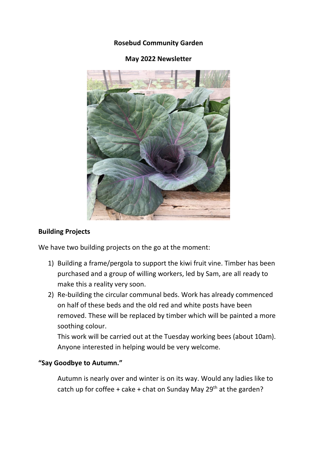### **Rosebud Community Garden**



# **May 2022 Newsletter**

### **Building Projects**

We have two building projects on the go at the moment:

- 1) Building a frame/pergola to support the kiwi fruit vine. Timber has been purchased and a group of willing workers, led by Sam, are all ready to make this a reality very soon.
- 2) Re-building the circular communal beds. Work has already commenced on half of these beds and the old red and white posts have been removed. These will be replaced by timber which will be painted a more soothing colour.

This work will be carried out at the Tuesday working bees (about 10am). Anyone interested in helping would be very welcome.

#### **"Say Goodbye to Autumn."**

Autumn is nearly over and winter is on its way. Would any ladies like to catch up for coffee + cake + chat on Sunday May  $29<sup>th</sup>$  at the garden?